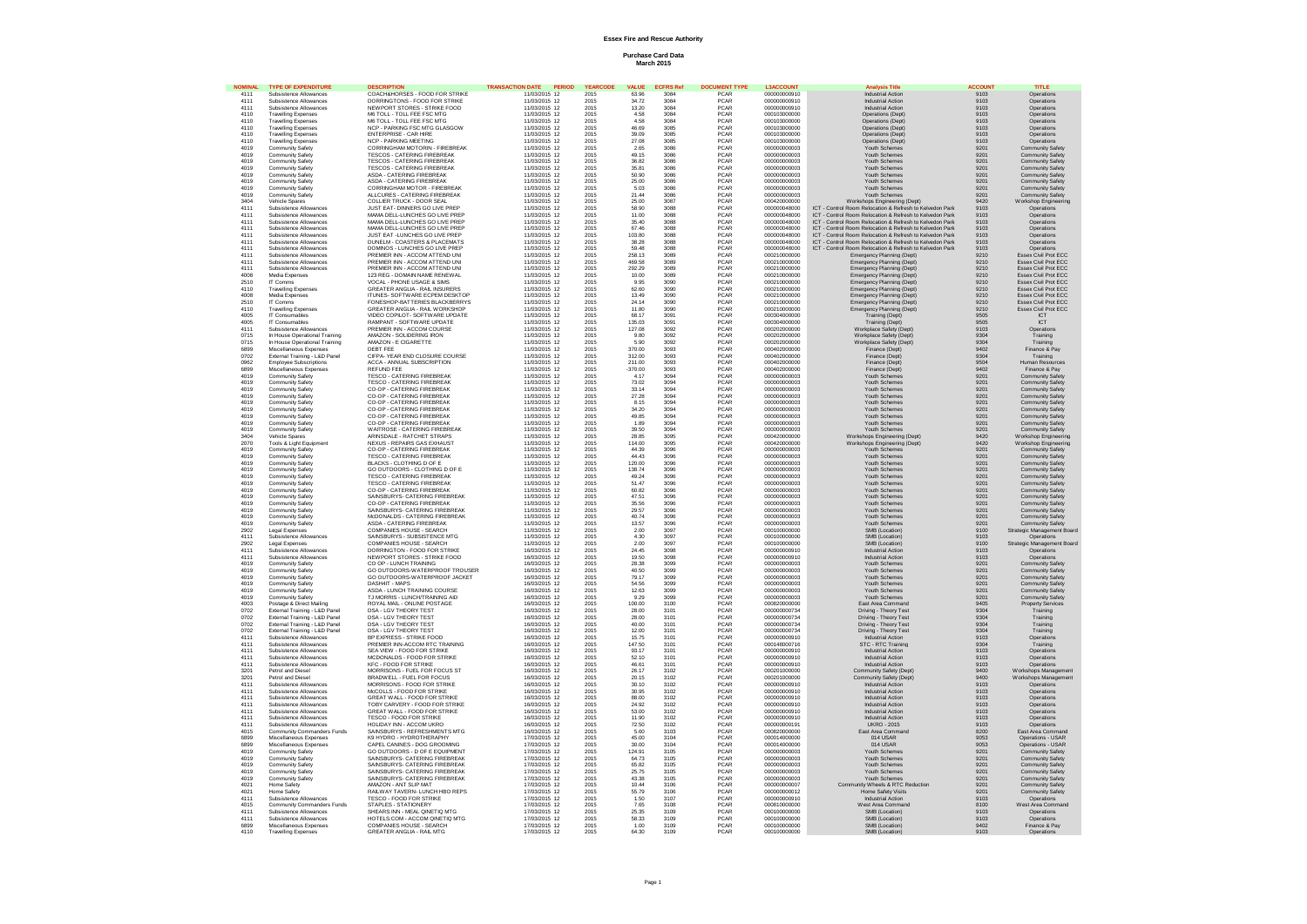# **Essex Fire and Rescue Authority**

**Purchase Card Data March 2015**

|              | <b>TYPE OF EXPL</b>                                  | COACH&HORSES - FOOD FOR STRIKE                                | DATE                           |              |                     |              | <b>TYPE</b>         |                              | inolvcic Titla                                           |               | шь                              |
|--------------|------------------------------------------------------|---------------------------------------------------------------|--------------------------------|--------------|---------------------|--------------|---------------------|------------------------------|----------------------------------------------------------|---------------|---------------------------------|
| 4111         | Subsistence Allowances                               |                                                               | 11/03/2015 12                  | 2015         | 63.96               | 3084         | PCAR                | 000000000910                 | <b>Industrial Action</b>                                 | 9103          | Operations                      |
| 4111         | Subsistence Allowances<br>Subsistence Allowances     | DORRINGTONS - FOOD FOR STRIKE<br>NEWPORT STORES - STRIKE FOOD | 11/03/2015 12                  | 2015         | 34.72               | 3084         | PCAR<br><b>PCAR</b> | 000000000910<br>00000000910  | <b>Industrial Action</b><br><b>Industrial Action</b>     | 9103          | Operations                      |
| 4111<br>4110 |                                                      |                                                               | 11/03/2015 12                  | 2015         | 13.20               | 3084<br>3084 | PCAR                |                              |                                                          | 9103          | Operations                      |
|              | <b>Travelling Expenses</b>                           | M6 TOLL - TOLL FEE FSC MTG                                    | 11/03/2015 12                  | 2015         | 4.58                |              |                     | 000103000000                 | Operations (Dept)                                        | 9103          | Operations                      |
| 4110         | <b>Travelling Expenses</b>                           | M6 TOLL - TOLL FEE FSC MTG                                    | 11/03/2015 12                  | 2015         | 4.58                | 3084         | PCAR                | 000103000000                 | Operations (Dept)                                        | 9103          | Operations                      |
| 4110         | <b>Travelling Expenses</b>                           | NCP - PARKING FSC MTG GLASGOW                                 | 11/03/2015 12                  | 2015         | 46,69               | 3085         | PCAR                | 000103000000                 | Operations (Dept)                                        | 9103          | Operations                      |
| 4110         | <b>Travelling Expenses</b>                           | <b>ENTERPRISE - CAR HIRE</b>                                  | 11/03/2015 12                  | 2015         | 39.09               | 3085         | <b>PCAR</b>         | 000103000000                 | Operations (Dept)                                        | 9103          | Onerations                      |
| 4110         | <b>Travelling Expenses</b>                           | <b>NCP - PARKING MEETING</b>                                  | 11/03/2015 12                  | 2015         | 27.08               | 3085         | PCAR                | 000103000000                 | Operations (Dept)                                        | 9103          | Operations                      |
| 4019         | Community Safety                                     | CORRINGHAM MOTORIN - FIREBREAK                                | 11/03/2015 12                  | 2015         | 2.65                | 3086         | PCAR                | 000000000003                 | Youth Schemes                                            | 9201          | Community Safety                |
| 4019         | Community Safety                                     | TESCOS - CATERING FIREBREAK                                   | 11/03/2015 12                  | 2015         | 49.15               | 3086         | <b>PCAR</b>         | 000000000003                 | Youth Schemes                                            | 9201          | Community Safety                |
| 4019         | Community Safety                                     | <b>TESCOS - CATERING FIREBREAK</b>                            | 11/03/2015 12                  | 2015         | 36.82               | 3086         | PCAR                | 000000000003                 | Youth Schemes                                            | 9201          | Community Safety                |
| 4019         | Community Safety                                     | <b>TESCOS - CATERING FIREBREAK</b>                            | 11/03/2015 12                  | 2015         | 35.81               | 3086         | PCAR                | 000000000003                 | Youth Schemes                                            | $920^{\circ}$ | Community Safety                |
| 4019         | Community Safety                                     | ASDA - CATERING FIREBREAK                                     | 11/03/2015 12                  | 2015         | 50.90               | 3086         | <b>PCAR</b>         | 000000000003                 | Youth Schemes                                            | 9201          | Community Safety                |
| 4019         | Community Safety                                     | ASDA - CATERING FIREBREAK                                     | 11/03/2015 12                  | 2015         | 25.00               | 3086         | PCAR                | 000000000003                 | Youth Schemes                                            | 9201          | Community Safety                |
| 4019         | Community Safet                                      | CORRINGHAM MOTOR - FIREBREAK                                  | 11/03/2015 12                  | 2015         | 5.03                | 3086         | PCAR                | 000000000003                 | Youth Schemes                                            | 9201          | Community Safety                |
| 4019         | Community Safety                                     | ALLCURES - CATERING FIREBREAK                                 | 11/03/2015 12                  | 2015         | 21.44               | 3086<br>3087 | <b>PCAR</b>         | 000000000003                 | Youth Schemes                                            | 9201          | Community Safety                |
| 3404         | Vehicle Spares                                       | COLLIER TRUCK - DOOR SEAL                                     | 11/03/2015 12                  | 2015         | 25.00               |              | PCAR                | 000420000000                 | Workshops Engineering (Dept)                             | 9420          | Workshop Engineering            |
| 4111         | Subsistence Allowances                               | JUST EAT- DINNERS GO LIVE PREP                                | 11/03/2015 12                  | 2015         | 58.90               | 3088         | PCAR                | 000000048000                 | ICT - Control Room Relocation & Refresh to Kelvedon Park | 9103          | Operations                      |
| 4111         | Subsistence Allowances                               | MAMA DELL-LUNCHES GO LIVE PREF                                | 11/03/2015 12                  | 2015         | 11.00               | 3088         | PCAR                | 000000048000                 | ICT - Control Room Relocation & Refresh to Kelvedon Park | 9103          | Operations                      |
| 4111         | Subsistence Allowances                               | MAMA DELL-LUNCHES GO LIVE PREP                                | 11/03/2015 12                  | 2015         | 35.40               | 3088         | PCAR                | 000000048000                 | ICT - Control Room Relocation & Refresh to Kelvedon Park | 9103          | Operations                      |
| 4111         | Subsistence Allowances                               | MAMA DELL-LUNCHES GO LIVE PREF                                | 11/03/2015 12                  | 2015         | 67.46               | 3088         | PCAR                | 000000048000                 | Control Room Relocation & Refresh to Kelvedon Park       | 9103          | Operations                      |
| 4111         | Subsistence Allowances                               | JUST FAT - UNCHES GO LIVE PREP                                | 11/03/2015 12                  | 2015         | 103.80              | 3088         |                     | 000000048000                 | ICT - Control Room Relocation & Refresh to Kelvedon Park | 9103          | Operations                      |
| 4111         | Subsistence Allowances                               | DUNELM - COASTERS & PLACEMATS                                 | 11/03/2015 12                  | 2015         | 38.28               | 3088         | PCAR<br>PCAR        | 000000048000                 | ICT - Control Room Relocation & Refresh to Kelvedon Park | 9103          | Operations                      |
| 4111         | Subsistence Allowances                               | DOMINOS - LUNCHES GO LIVE PREF                                | 11/03/2015 12                  | 2015         | 59.48               | 3088         | PCAR                | 000000048000                 | ICT - Control Room Relocation & Refresh to Kelvedon Park | 9103          | Operations                      |
|              |                                                      |                                                               |                                |              |                     |              |                     |                              |                                                          |               |                                 |
| 4111         | Subsistence Allowances                               | PREMIER INN - ACCOM ATTEND UNI                                | 11/03/2015 12                  | 2015         | 258.13              | 3089         | PCAR                | 000210000000                 | Emergency Planning (Dept)                                | 9210          | Essex Civil Prot ECC            |
| 4111         | Subsistence Allowances                               | PREMIER INN - ACCOM ATTEND UN                                 | 11/03/2015 12                  | 2015         | 469.58              | 3089         | <b>PCAR</b>         | 000210000000                 | Emergency Planning (Dept)                                | 9210          | Essex Civil Prot ECC            |
| 4111         | Subsistence Allowances                               | PREMIER INN - ACCOM ATTEND UNI                                | 11/03/2015 12                  | 2015         | 292.29              | 3089         | PCAR                | 000210000000                 | Emergency Planning (Dept)                                | 9210          | Essex Civil Prot ECC            |
| 4008         | Media Expenses                                       | 123 REG - DOMAIN NAME RENEWAL                                 | 11/03/2015 12                  | 2015         | 10.00               | 3089         | PCAR                | 000210000000                 | Emergency Planning (Dept)                                | 9210          | Essex Civil Prot ECC            |
| 2510         | IT Comms                                             | VOCAL - PHONE USAGE & SIMS                                    | 11/03/2015 12                  | 2015         | 9.95                | 3090         | <b>PCAR</b>         | 000210000000                 | Emergency Planning (Dept)                                | 9210          | Essex Civil Prot ECC            |
| 4110         | <b>Travelling Expenses</b>                           | GREATER ANGLIA - RAIL INSURERS                                | 11/03/2015 12                  | 2015         | 62.60               | 3090         | PCAR                | 000210000000                 | Emergency Planning (Dept)                                | 9210          | Essex Civil Prot ECC            |
| 4008         | Media Expenses                                       | ITUNES- SOFTWARE ECPEM DESKTOP                                | 11/03/2015 12                  | 2015         | 13.49               | 3090         | PCAR                | 000210000000                 | Emergency Planning (Dept)                                | 9210          | Essex Civil Prot ECC            |
| 2510         | IT Comms                                             | FONESHOP-RATTERIES BLACKBERRYS                                | 11/03/2015 12                  | 2015         | 24 14               | 3090         | <b>PCAR</b>         | 000210000000                 | Emergency Planning (Dept)                                | 9210          | Essex Civil Prot ECC            |
| 4110         | <b>Travelling Expenses</b>                           | GREATER ANGLIA - RAIL WORKSHOP                                | 11/03/2015 12                  | 2015         | 11.80               | 3090         | PCAR                | 000210000000                 | Emergency Planning (Dept)                                | 9210          | Essex Civil Prot ECC            |
| 4005         | IT Consumables                                       | VIDEO COPILOT- SOFTWARE UPDATE                                | 11/03/2015 12                  | 2015         | 68.17               | 3091         | PCAR                | 000304000000                 | <b>Training (Dept)</b>                                   | 9505          | ICT                             |
| 4005         | IT Consumables                                       | RAMPANT - SOFTWARE UPDATE                                     | 11/03/2015 12                  | 2015         | 135.03              | 3091<br>3092 | <b>PCAR</b>         | 000304000000                 | <b>Training (Dept)</b>                                   | 9505          | ICT                             |
| 4111         | Subsistence Allowances                               | PREMIER INN - ACCOM COURSE                                    | 11/03/2015 12                  | 2015         | 127.08              |              | PCAR                | 000202000000                 | Workplace Safety (Dept)                                  | 9103          | Operations                      |
| 0715         | In House Operational Training                        | AMAZON - SOLIDERING IRON                                      | 11/03/2015 12                  | 2015         | 9.80                | 3092         | PCAR                | 000202000000                 | Workplace Safety (Dept)                                  | 9304          | Training                        |
| 0715         | In House Operational Training                        | AMAZON - E CIGARETTE                                          | 11/03/2015 12                  | 2015         | 5.90                | 3092         | <b>PCAR</b>         | 000202000000                 | Workplace Safety (Dept)                                  | 9304          | Training                        |
| 6899         | Miscellaneous Expenses                               | DEBT FEE                                                      | 11/03/2015 12                  | 2015         | 370.00              | 3093         | PCAR                | 000402000000                 | Finance (Dept)                                           | 9402          | Finance & Pav                   |
| 0702         | External Training - L&D Panel                        | CIFPA- YEAR END CLOSURE COURSE                                | 11/03/2015 12                  | 2015         | 312.00              | 3093         | PCAR                | 000402000000                 | Finance (Dept)                                           | 9304          | Training                        |
| 0962         | Employee Subscriptions                               | ACCA - ANNUAL SUBSCRIPTION                                    | 11/03/2015 12                  | 2015         | 211.00              | 3093         | PCAR                | 000402000000                 | Finance (Dept                                            | 9504          | Human Resources                 |
| 6899         | Miscellaneous Expenses                               | REFUND FEE                                                    | 11/03/2015 12                  | 2015         | $-370.00$           | 3093         | <b>PCAR</b>         | 000402000000                 | Finance (Dent)                                           | 9402          | Finance & Pay                   |
| 4019         | Community Safety                                     |                                                               |                                | 2015         |                     | 3094         |                     | 000000000003                 | <b>Youth Schemes</b>                                     | 9201          |                                 |
|              |                                                      | <b>TESCO - CATERING FIREBREAK</b>                             | 11/03/2015 12                  |              | 4.17                |              | PCAR                |                              |                                                          |               | Community Safety                |
| 4019         | Community Safety                                     | <b>TESCO - CATERING FIREBREAK</b>                             | 11/03/2015 12                  | 2015         | 73.02               | 3094         | PCAR                | 000000000003                 | Youth Schemes                                            | 9201          | Community Safety                |
| 4019         | Community Safety                                     | CO-OP - CATERING FIREBREAK                                    | 11/03/2015 12                  | 2015         | 33 14               | 3094         | <b>PCAR</b>         | 000000000003                 | Youth Schemes                                            | 9201          | Community Safety                |
| 4019         | Community Safety                                     | CO-OP - CATERING FIREBREAK                                    | 11/03/2015 12                  | 2015         | 27.28               | 3094         | PCAR                | 000000000003                 | Youth Schemes                                            | 9201          | Community Safety                |
| 4019         | Community Safety                                     | CO-OP - CATERING FIREBREAK                                    | 11/03/2015 12                  | 2015         | 8.15                | 3094         | PCAR                | 000000000003                 | Youth Schemes                                            | 9201          | Community Safety                |
| 4019         | Community Safety                                     | CO-OP - CATERING FIRERREAK                                    | 11/03/2015 12                  | 2015         | 34.20               | 3094         | <b>PCAR</b>         | 000000000003                 | Youth Schemes                                            | 9201          | Community Safety                |
| 4019         | Community Safety                                     | CO-OP - CATERING FIREBREAK                                    | 11/03/2015 12                  | 2015         | 49.85               | 3094         | PCAR                | 000000000003                 | Youth Schemes                                            | 9201          | Community Safety                |
| 4019         | Community Safety                                     | CO-OP - CATERING FIREBREAK                                    | 11/03/2015 12                  | 2015         | 1.89                | 3094         | PCAR                | 000000000003                 | <b>Youth Schemes</b>                                     | 9201          | Community Safety                |
| 4019         | Community Safety                                     | WAITROSE - CATERING FIREBREAK                                 | 11/03/2015 12                  | 2015         | 39.50               | 3094         | <b>PCAR</b>         | 000000000003                 | Youth Schemes                                            | 9201          | Community Safety                |
| 3404         | Vehicle Spares                                       | ARINSDALE - RATCHET STRAPS                                    | 11/03/2015 12                  | 2015         | 28.85               | 3095         | PCAR                | 000420000000                 | Workshops Engineering (Dept)                             | 9420          | Workshop Engineering            |
| 2070         | Tools & Light Equipment                              | NEXUS - REPAIRS GAS EXHAUST                                   | 11/03/2015 12                  | 2015         | 114.00              | 3095         | PCAR                | 000420000000                 | Workshops Engineering (Dept)                             | 9420          | Workshop Engineering            |
| 4019         | Community Safety                                     | CO-OP - CATERING FIRERREAK                                    | 11/03/2015 12                  | 2015         | 44.39               | 3096         | <b>PCAR</b>         | 000000000003<br>000000000003 | Youth Schemes                                            | 9201          | Community Safety                |
| 4019         | Community Safety                                     | <b>TESCO - CATERING FIREBREAK</b>                             | 11/03/2015 12                  | 2015         | 44.43               | 3096         | PCAR                |                              | Youth Schemes                                            | 9201          | <b>Community Safety</b>         |
| 4019         | Community Safety                                     | <b>BLACKS - CLOTHING D OF E</b>                               | 11/03/2015 12                  | 2015         | 120.00              | 3096         | PCAR                | 000000000003                 | Youth Schemes                                            | 9201          | Community Safety                |
| 4019         | Community Safety                                     | GO OUTDOORS - CLOTHING D OF E                                 | 11/03/2015 12                  | 2015         | 138.74              | 3096         | PCAR                | 000000000003                 | Youth Schemes                                            | 9201          | Community Safety                |
| 4019         | Community Safety                                     | <b>TESCO - CATERING FIREBREAK</b>                             | 11/03/2015 12                  | 2015         | 49.24               | 3096         | PCAR                | 000000000003                 | Youth Schemes                                            | 9201          | Community Safety                |
| 4019         | Community Safety                                     | <b>TESCO - CATERING FIREBREAK</b>                             | 11/03/2015 12                  | 2015         | 51.47               | 3096         | PCAR                | 000000000003                 | Youth Schemes                                            | 9201          | Community Safety                |
| 4019         | Community Safety                                     | CO-OP - CATERING FIREBREAK                                    | 11/03/2015 12                  | 2015         | 60.82               | 3096         | PCAR                | 000000000003                 | Youth Schemes                                            | 9201          | Community Safety                |
| 4019         | Community Safety                                     | SAINSBURYS- CATERING FIREBREAK                                | 11/03/2015 12                  | 2015         | 47.51               | 3096         | <b>PCAR</b>         | 000000000003                 | Youth Schemes                                            | 9201          | Community Safety                |
| 4019         | Community Safety                                     | CO-OP - CATERING FIREBREAK                                    | 11/03/2015 12                  | 2015         | 35.56               | 3096         | PCAR                | 000000000003                 | <b>Youth Schemes</b>                                     | $920^{\circ}$ | Community Safety                |
| 4019         | Community Safety                                     | SAINSBURYS- CATERING FIREBREAK                                |                                | 2015         |                     |              |                     | 000000000003                 | Youth Schemes                                            | $920^{\circ}$ | Community Safety                |
| 4019         | Community Safety                                     | McDONALDS - CATERING FIREBREAK                                | 11/03/2015 12<br>11/03/2015 12 | 2015         | 29.57<br>40.74      | 3096<br>3096 | PCAR<br><b>PCAR</b> | 000000000003                 | Youth Schemes                                            | 9201          | Community Safety                |
| 4019         | Community Safety                                     | ASDA - CATERING FIREBREAK                                     | 11/03/2015 12                  | 2015         | 13.57               | 3096         | PCAR                | 000000000003                 | Youth Schemes                                            | 9201          | Community Safety                |
| 2902         | Legal Expenser                                       | COMPANIES HOUSE - SEARCH                                      | 11/03/2015 12                  | 2015         | 2.00                | 3097         | PCAR                | 000100000000                 |                                                          | 9100          | Strategic Management Board      |
|              | Subsistence Allowances                               |                                                               |                                |              |                     |              | <b>PCAR</b>         | 000100000000                 | SMB (Location)                                           |               |                                 |
| 4111         |                                                      | SAINSBURYS - SUBSISTENCE MTG                                  | 11/03/2015 12                  | 2015         | $\frac{4.30}{2.00}$ | 3097<br>3097 |                     |                              | SMB (Location)                                           | 9103          | Operations                      |
| 2902         | Legal Expenses                                       | COMPANIES HOUSE - SEARCH                                      | 11/03/2015 12                  | 2015         |                     |              | PCAR                | 000100000000                 | SMB (Location)                                           | 9100          | Strategic Management Board      |
| 4111         | Subsistence Allowances                               | DORRINGTON - FOOD FOR STRIKE                                  | 16/03/2015 12                  | 2015         | 24.45               | 3098         | PCAR                | 000000000910                 | <b>Industrial Action</b>                                 | 9103          | Operations                      |
| 4111         | Subsistence Allowances                               | NEWPORT STORES - STRIKE FOOD                                  | 16/03/2015 12                  | 2015         | 19.50               | 3098         | <b>PCAR</b>         | 000000000910                 | <b>Industrial Action</b>                                 | 9103          | Operations                      |
| 4019         | Community Safety                                     | CO OP - LUNCH TRAINING                                        | 16/03/2015 12                  | 2015         | 28.38               | 3099         | PCAR                | 000000000003                 | Youth Schemes                                            | 9201          | Community Safety                |
| 4019         | Community Safety                                     | GO OUTDOORS-WATERPROOF TROUSER                                | 16/03/2015 12                  | 2015         | 40.50               | 3099         | PCAR                | 000000000003                 | Youth Schemes                                            | 9201          | Community Safety                |
| 4019         | Community Safety                                     | GO OUTDOORS-WATERPROOF JACKET                                 | 16/03/2015 12<br>16/03/2015 12 | 2015         | 79.17               | 3099<br>3099 | <b>PCAR</b>         | 000000000003                 | Youth Schemes                                            | 9201          | Community Safety                |
| 4019         | <b>Community Safety</b>                              | DASH4IT - MAPS                                                |                                | 2015         | 54.56               |              | PCAR                | 000000000003                 | Youth Schemes                                            | 9201          | <b>Community Safety</b>         |
| 4019         | Community Safety                                     | ASDA - LUNCH TRAINING COURSE                                  | 16/03/2015 12                  | 2015         | 12.63               | 3099         | PCAR                | 000000000003                 | Youth Schemes                                            | 9201          | Community Safety                |
| 4019         | Community Safety                                     | TJ MORRIS - LUNCH/TRAINING AID                                | 16/03/2015 12                  | 2015         | 9.29                | 3099         | PCAR                | 000000000003                 | Youth Schemes                                            | 9201          | Community Safety                |
| 4003         | Postage & Direct Mailing                             | ROYAL MAIL - ONLINE POSTAGE                                   | 16/03/2015 12                  | 2015         | 100.00              | 3100         | PCAR                | 000820000000                 | East Area Command                                        | 9405          | <b>Property Services</b>        |
| 0702         | External Training - L&D Panel                        | <b>DSA - LGV THEORY TEST</b>                                  | 16/03/2015 12                  | 2015         | 28.00               | 3101         | PCAR                | 000000000734                 | Driving - Theory Test                                    | 9304          | Training                        |
| 0702         | External Training - L&D Pane                         | DSA - LGV THEORY TEST                                         | 16/03/2015 12                  | 2015         | 28.00               | 3101         | PCAR                | 000000000734                 | Driving - Theory Test                                    | 9304          | Training                        |
| 0702         | External Training - L&D Panel                        | DSA - LGV THEORY TEST                                         | 16/03/2015 12                  | 2015         | 40.00               | 3101<br>3101 | <b>PCAR</b>         | 000000000734                 | Driving - Theory Test                                    | 9304          | Training                        |
| 0702         | External Training - L&D Panel                        | DSA - LGV THEORY TEST                                         | 16/03/2015 12                  | 2015         | 12.00               |              | PCAR                | 000000000734                 | Driving - Theory Test                                    | 9304          | Training                        |
| 4111         | Subsistence Allowances                               | BP EXPRESS - STRIKE FOOD                                      | 16/03/2015 12                  | 2015         | 15.75               | 3101         | PCAR                | 000000000910                 | <b>Industrial Action</b>                                 | 9103          | Operations                      |
| 4111         | Subsistence Allowances                               | PREMIER INN-ACCOM RTC TRAINING                                | 16/03/2015 12                  | 2015         | 147.50              | 3101         | <b>PCAR</b>         | 000148000716                 | STC - RTC Training                                       | 9304          | Training                        |
| 4111         | Subsistence Allowances                               | SEA VIEW - FOOD FOR STRIKE                                    | 16/03/2015 12                  | 2015         | 93.17               | 3101         | PCAR                | 00000000910                  | <b>Industrial Action</b>                                 | 9103          | Operations                      |
| 4111         | Subsistence Allowance                                | MCDONALDS - FOOD FOR STRIKE                                   | 16/03/2015 12                  | 2015         | 52.10               | 3101         | PCAR                | 000000000910                 | <b>Industrial Action</b>                                 | 9103          | Operations                      |
| 4111         | Subsistence Allowances                               | <b>KFC - FOOD FOR STRIKE</b>                                  | 16/03/2015 12                  | 2015         | 46.61               |              | PCAR                | 000000000910                 | <b>Industrial Action</b>                                 | 9103          | Operations                      |
| 3201         | Petrol and Diesel                                    | MORRISONS - FUEL FOR FOCUS ST                                 | 16/03/2015 12                  | 2015         | 26.17               | 3101<br>3102 | PCAR                | 000201000000                 | Community Safety (Dept)                                  | 9400          | Workshops Management            |
|              | Petrol and Diese                                     | BRADWELL - FUEL FOR FOCUS                                     | 16/03/2015 12                  |              |                     |              |                     | 000201000000                 | Community Safety (Dept)                                  |               | Workshops Management            |
| 3201<br>4111 | Subsistence Allowances                               | MORRISONS - FOOD FOR STRIKE                                   | 16/03/2015 12                  | 2015<br>2015 | 20.15<br>30.10      | 3102<br>3102 | PCAR<br><b>PCAR</b> | 000000000910                 | <b>Industrial Action</b>                                 | 9400<br>9103  | Operations                      |
|              |                                                      |                                                               |                                |              | 30.95               |              | PCAR                |                              |                                                          |               |                                 |
| 4111         | Subsistence Allowances                               | McCOLLS - FOOD FOR STRIKE                                     | 16/03/2015 12                  | 2015         |                     | 3102         |                     | 000000000910                 | <b>Industrial Action</b>                                 | 9103          | Operations                      |
| 4111         | Subsistence Allowances                               | GREAT WALL - FOOD FOR STRIKE                                  | 16/03/2015 12                  | 2015         | 88.00               | 3102         | PCAR                | 000000000910                 | Industrial Action                                        | 9103          | Operations                      |
| 4111         | Subsistence Allowances                               | TOBY CARVERY - FOOD FOR STRIKE                                | 16/03/2015 12                  | 2015         | 24.92               | 3102         | PCAR<br>PCAR        | 000000000910                 | <b>Industrial Action</b>                                 | 9103          | Operations                      |
| 4111         | Subsistence Allowances                               | GREAT WALL - FOOD FOR STRIKE                                  | 16/03/2015 12                  | 2015         | 53.00               | 3102         |                     | 000000000910                 | <b>Industrial Action</b>                                 | 9103          | Operations                      |
| 4111         | Subsistence Allowances                               | <b>TESCO - FOOD FOR STRIKE</b>                                | 16/03/2015 12                  | 2015         | 11.90               | 3102         | PCAR                | 00000000910                  | <b>Industrial Action</b>                                 | 9103          | Operations                      |
| 4111         | Subsistence Allowances                               | HOLIDAY INN - ACCOM UKRO                                      | 16/03/2015 12                  | 2015         | 72.50               | 3102         | PCAR                | 000000000191                 | <b>UKRO - 2015</b>                                       | 9103          | Operations                      |
| 4015         | Community Commanders Funds                           | SAINSBURYS - REFRESHMENTS MTG                                 | 16/03/2015 12                  | 2015         | 5.60                | 3103         | PCAR                | 000820000000                 | East Area Command                                        | 8200          | East Area Command               |
| 6899         | Miscellaneous Expenses                               | K9 HYDRO - HYDROTHERAPHY                                      | 17/03/2015 12                  | 2015         | 45.00               | 3104         | PCAR                | 000014000000                 | 014 USAR                                                 | 9053          | Operations - USAR               |
| 6899         | Miscellaneous Expenses                               | CAPEL CANINES - DOG GROOMING                                  | 17/03/2015 12                  | 2015         | 30.00               | 3104         | PCAR                | 000014000000                 | 014 USAR                                                 | 9053          | Operations - USAR               |
| 4019         | Community Safety                                     | GO OUTDOORS - D OF F FOURMENT                                 | 17/03/2015 12                  | 2015         | 124.91              |              | <b>PCAR</b>         | 000000000003                 | Youth Schemes                                            | 9201          | Community Safety                |
| 4019         | Community Safety                                     | SAINSBURYS- CATERING FIREBREAK                                | 17/03/2015 12                  | 2015         | 64.73               | 3105<br>3105 | PCAR                | 000000000003                 | Youth Schemes                                            | 9201          | Community Safety                |
| 4019         | Community Safety                                     | SAINSBURYS- CATERING FIREBREAK                                | 17/03/2015 12                  | 2015         | 65.82               | 3105         | PCAR                | 000000000003                 | Youth Schemes                                            | 9201          | Community Safety                |
| 4019         | Community Safety                                     | SAINSBURYS- CATERING FIREBREAK                                | 17/03/2015 12                  | 2015         | 2575                | 3105         | <b>PCAR</b>         | 000000000003                 | Youth Schemes                                            | 9201          | Community Safety                |
| 4019         | <b>Community Safety</b>                              | SAINSBURYS- CATERING FIREBREAK                                | 17/03/2015 12                  | 2015         | 43.38               | 3105         | PCAR                | 000000000003                 | Youth Schemes                                            | 9201          | Community Safety                |
| 4021         | Home Safety                                          | AMAZON - ANT SLIP MAT                                         | 17/03/2015 12                  | 2015         | 10.44               | 3106         | PCAR                | 000000000007                 | Community Wheels & RTC Reduction                         | 9201          | Community Safety                |
|              | Home Safety                                          |                                                               |                                |              |                     |              | <b>PCAR</b>         | 000000000012                 |                                                          |               |                                 |
| 4021<br>4111 |                                                      | RAILWAY TAVERN- LUNCH HBO REPS                                | 17/03/2015 12<br>17/03/2015 12 | 2015         | 55.79<br>1.50       | 3106<br>3107 |                     | 000000000910                 | Home Safety Visits                                       | 9201          | Community Safety                |
|              | Subsistence Allowances                               | TESCO - FOOD FOR STRIKE                                       |                                | 2015         |                     |              | PCAR                |                              | <b>Industrial Action</b>                                 | 9103          | Operations                      |
| 4015<br>4111 | Community Commanders Funds<br>Subsistence Allowances | STAPLES - STATIONERY<br>SHEARS INN - MEAL OINETIO MTG         | 17/03/2015 12<br>17/03/2015 12 | 2015<br>2015 | 7.65<br>25.35       | 3108<br>3109 | PCAR<br><b>PCAR</b> | 000810000000<br>000100000000 | West Area Command<br>SMB (Location)                      | 8100<br>9103  | West Area Command<br>Operations |
|              |                                                      |                                                               |                                |              |                     |              |                     |                              |                                                          |               |                                 |
| 4111         | Subsistence Allowances                               | HOTELS.COM - ACCOM QINETIQ MTG                                | 17/03/2015 12                  | 2015         | 58.33               | 3109         | PCAR                | 000100000000                 | SMB (Location)                                           | 9103          | Operations                      |
| 6899         | Miscellaneous Expenses                               | COMPANIES HOUSE - SEARCH                                      | 17/03/2015 12                  | 2015         | 1.00                | 3109         | PCAR                | 000100000000                 | SMB (Location)                                           | 9402          | Finance & Pay                   |
| 4110         | <b>Travelling Exper</b>                              | GREATER ANGLIA - RAIL MTG                                     | 17/03/2015 12                  | 2015         | 64.30               | 3109         | <b>PCAR</b>         | 000100000000                 | SMB (Location)                                           | 9103          | Operation:                      |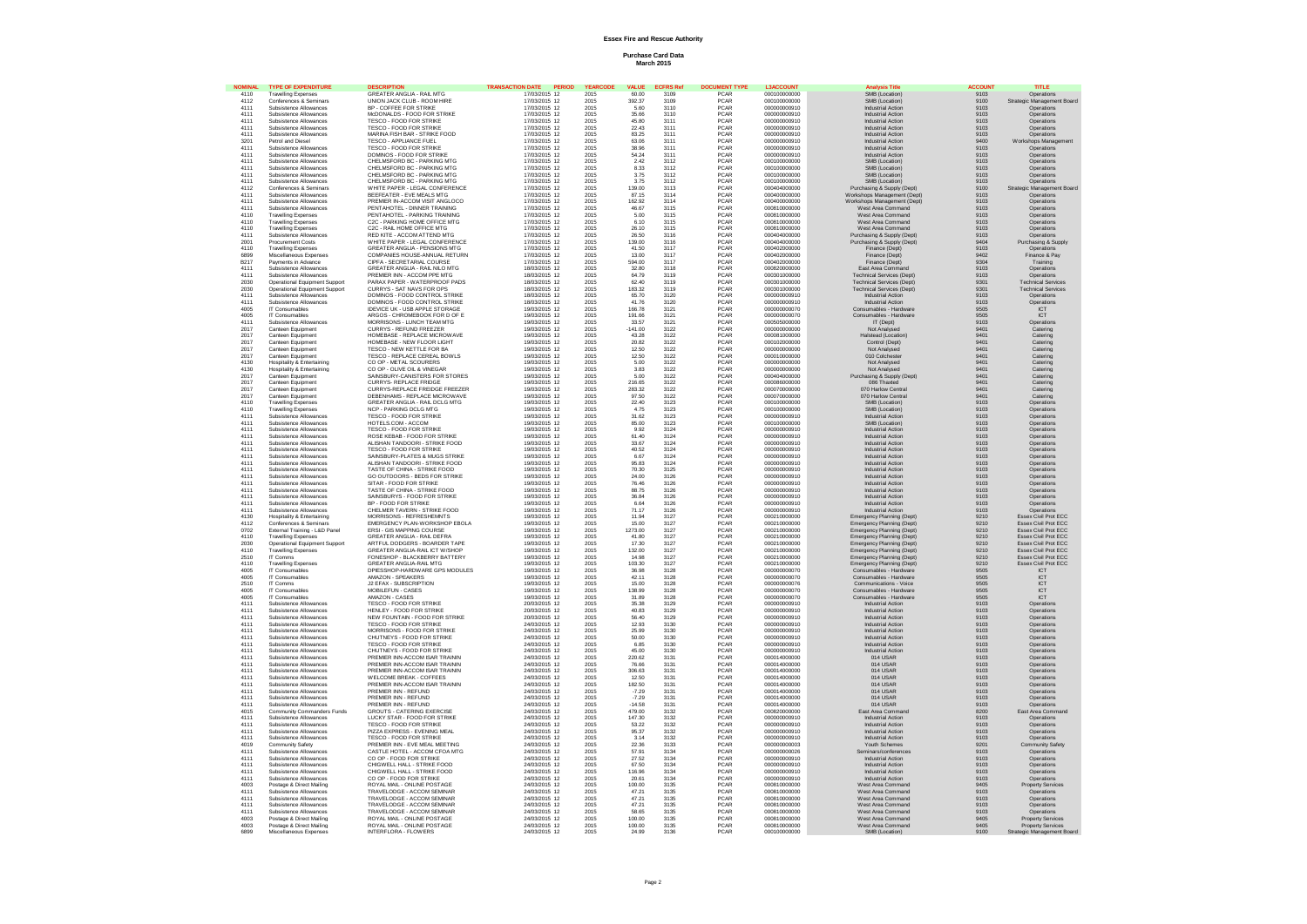# **Essex Fire and Rescue Authority**

## **Purchase Card Data March 2015**

|              | TYPE OF EXP                                          | <b>GREATER ANGLIA - RAIL MTG</b>                                | DATE                           |              |                      |              |                     |                              | ie Titla<br>SMB (Location)                           | местина<br>9103 | 11 T L E                                 |
|--------------|------------------------------------------------------|-----------------------------------------------------------------|--------------------------------|--------------|----------------------|--------------|---------------------|------------------------------|------------------------------------------------------|-----------------|------------------------------------------|
| 4110<br>4112 | <b>Travelling Expenses</b><br>Conferences & Seminars | UNION JACK CLUB - ROOM HIRE                                     | 17/03/2015 12<br>17/03/2015 12 | 2015<br>2015 | 60.00<br>392.37      | 3109<br>3109 | PCAR<br>PCAR        | 000100000000<br>000100000000 | SMB (Location)                                       | 9100            | Operations<br>Strategic Management Board |
|              | Subsistence Allowances                               | <b>BP - COFFEE FOR STRIKE</b>                                   | 17/03/2015 12                  | 2015         | 5.60                 | 3110         | <b>PCAR</b>         | 000000000910                 | <b>Industrial Action</b>                             |                 | Operations                               |
| 4111<br>4111 | Subsistence Allowances                               | McDONALDS - FOOD FOR STRIKE                                     | 17/03/2015 12                  | 2015         | 35.66                | 3110         | PCAR                | 000000000910                 | <b>Industrial Action</b>                             | 9103<br>9103    | Operations                               |
| 4111         | Subsistence Allowances                               | TESCO - FOOD FOR STRIKE                                         | 17/03/2015 12                  | 2015         | 45.80                | 3111         | PCAR                | 000000000910                 | <b>Industrial Action</b>                             | 9103            | Operations                               |
| 4111         | Subsistence Allowances                               | TESCO - FOOD FOR STRIKE                                         | 17/03/2015 12                  | 2015         | 22.43                | 3111         | <b>PCAR</b>         | 000000000910                 | <b>Industrial Action</b>                             | 9103            | Operations                               |
| 4111         | Subsistence Allowances                               | MARINA FISH BAR - STRIKE FOOD                                   | 17/03/2015 12                  | 2015         | 83.25                | 3111         | PCAR                | 000000000910                 | <b>Industrial Action</b>                             | 9103            | Operations                               |
| 3201         | Petrol and Diesel                                    | TESCO - APPLIANCE FUEL                                          | 17/03/2015 12                  | 2015         | 63.06                | 3111         | PCAR                | 000000000910                 | <b>Industrial Action</b>                             | 9400            | Workshops Management                     |
| 4111         | Subsistence Allowances                               | TESCO - FOOD FOR STRIKE                                         | 17/03/2015 12                  | 2015         | 38.96                | 3111         | PCAR                | 000000000910                 | <b>Industrial Action</b>                             | 9103            | Operations                               |
| 4111         | Subsistence Allowances                               | DOMINOS - FOOD FOR STRIKE                                       | 17/03/2015 12                  | 2015         | 54 24                | 311'         | <b>PCAR</b>         | 000000000910                 | <b>Industrial Action</b>                             | 9103            | Onerations                               |
| 4111         | Subsistence Allowances                               | CHELMSFORD BC - PARKING MTG                                     | 17/03/2015 12                  | 2015         | 2.42                 | 3112         | PCAR                | 000100000000                 | SMB (Location)                                       | 9103            | Operations                               |
| 4111         | Subsistence Allowances                               | CHELMSFORD BC - PARKING MTG                                     | 17/03/2015 12                  | 2015         | 8.33                 | 3112         | PCAR                | 000100000000                 | SMB (Location)                                       | 9103            | Operations                               |
| 4111         | Subsistence Allowances                               | CHELMSFORD BC - PARKING MTG                                     | 17/03/2015 12                  | 2015         | 3.75                 | 3112         | <b>PCAR</b>         | 000100000000                 | SMB (Location)                                       | 9103            | Onerations                               |
| 4111         | Subsistence Allowances                               | CHELMSFORD BC - PARKING MTG                                     | 17/03/2015 12                  | 2015         | 3.75                 | 3112         | PCAR                | 000100000000                 | SMB (Location)                                       | 9103            | Operations                               |
| 4112         | Conferences & Seminar                                | WHITE PAPER - LEGAL CONFERENCE                                  | 17/03/2015 12                  | 2015         | 139.00               | 3113         | PCAR                | 000404000000                 | Purchasing & Supply (Dept)                           | 9100            | Strate<br>c Management Board             |
| 4111         | Subsistence Allowances                               | <b>REFFEATER - EVE MEALS MTG</b>                                | 17/03/2015 12                  | 2015         | 87 15                | 3114         | <b>PCAR</b>         | 000400000000                 | Workshops Management (Dept)                          | 9103            | Operations                               |
| 4111         | Subsistence Allowances                               | PREMIER IN-ACCOM VISIT ANGLOCO                                  | 17/03/2015 12                  | 2015         | 162.92               | 3114         | PCAR                | 000400000000                 | Workshops Management (Dept)                          | 9103            | Operations                               |
| 4111         | Subsistence Allowances                               | PENTAHOTEL - DINNER TRAINING                                    | 17/03/2015 12                  | 2015         | 46.67                | 3115         | PCAR                | 000810000000                 | West Area Command                                    | 9103            | Operations                               |
| 4110         | <b>Travelling Expenses</b>                           | PENTAHOTEL - PARKING TRAINING                                   | 17/03/2015 12                  | 2015         | 500                  | 3115         | <b>PCAR</b>         | 000810000000                 | West Area Command                                    | 9103            | Onerations                               |
| 4110         | <b>Travelling Expenses</b>                           | C2C - PARKING HOME OFFICE MTG                                   | 17/03/2015 12                  | 2015         | 6.10                 | 3115         | PCAR                | 000810000000                 | West Area Command                                    | 9103            | Operations                               |
| 4110         | <b>Travelling Expenser</b>                           | C2C - RAIL HOME OFFICE MTG                                      | 17/03/2015 12                  | 2015         | 26.10                | 3115         | PCAR                | 000810000000                 | West Area Command                                    | 9103            | Operations                               |
| 4111         | Subsistence Allowances                               | RED KITE - ACCOM ATTEND MTG                                     | 17/03/2015 12                  | 2015         | 26.50                | 3116         | <b>PCAR</b>         | 000404000000                 | Purchasing & Supply (Dept)                           | 9103            | Operations                               |
| 2001         | Procurement Costs                                    | WHITE PAPER - LEGAL CONFERENCE                                  | 17/03/2015 12                  | 2015         | 139.00               | 3116         | PCAR                | 000404000000                 | Purchasing & Supply (Dept)                           | 9404            | Purchasing & Supply                      |
| 4110         | <b>Travelling Expenser</b>                           | GREATER ANGLIA - PENSIONS MTG                                   | 17/03/2015 12                  | 2015         | 41.50                | 3117         | PCAR                | 000402000000                 | Finance (Dept)                                       | 9103            | Operations                               |
| 6899         | Miscellaneous Expenses                               | COMPANIES HOUSE-ANNUAL RETURN                                   | 17/03/2015 12                  | 2015         | 13.00                | 3117         | PCAR<br>PCAR        | 000402000000                 | Finance (Dept)                                       | 9402<br>9304    | Finance & Pay                            |
| B217         | Payments in Advance                                  | CIPFA - SECRETARIAL COURSE                                      | 17/03/2015 12                  | 2015         | 594.00               | 3117         |                     | 000402000000                 | Finance (Dept)                                       |                 | Training                                 |
| 4111         | Subsistence Allowances                               | GREATER ANGLIA - RAIL NILO MTG                                  | 18/03/2015 12                  | 2015         | 32.80                | 3118         | PCAR                | 000820000000                 | East Area Command                                    | 9103            | Operations                               |
| 4111         | Subsistence Allowances                               | PREMIER INN - ACCOM PPE MTG                                     | 18/03/2015 12                  | 2015         | 64.79                | 3119         | <b>PCAR</b>         | 000301000000                 | <b>Technical Services (Dept)</b>                     | 9103            | Operations                               |
| 2030         | Operational Equipment Support                        | PARAX PAPER - WATERPROOF PADS                                   | 18/03/2015 12                  | 2015         | 62.40                | 3119         | PCAR                | 000301000000                 | <b>Technical Services (Dept)</b>                     | 9301            | <b>Technical Services</b>                |
| 2030         | Operational Equipment Support                        | CURRYS - SAT NAVS FOR OPS                                       | 18/03/2015 12                  | 2015         | 183.32               | 3119         | PCAR                | 000301000000                 | <b>Technical Services (Dept)</b>                     | 9301            | <b>Technical Services</b>                |
| 4111         | Subsistence Allowances                               | DOMINOS - FOOD CONTROL STRIKE                                   | 18/03/2015 12                  | 2015         | 65.70                | 3120         | PCAR<br>PCAR        | 000000000910                 | <b>Industrial Action</b>                             | 9103            | Operations                               |
| 4111         | Subsistence Allowances                               | DOMINOS - FOOD CONTROL STRIKE                                   | 18/03/2015 12                  | 2015         | 41.76                | 3120         |                     | 000000000910                 | <b>Industrial Action</b>                             | 9103            | Operations                               |
| 4005         | IT Consumables                                       | IDEVICE UK - USB APPLE STORAGE                                  | 19/03/2015 12                  | 2015         | 166.78               | 3121         | PCAR                | 000000000070                 | Consumables - Hardware                               | 9505            | ICT                                      |
| 4005         | IT Consumables                                       | ARGOS - CHROMEBOOK FOR D OF E                                   | 19/03/2015 12                  | 2015         | 191.66               | 3121         | PCAR                | 000000000070                 | Consumables - Hardware                               | 9505            | ICT                                      |
| 4111         | Subsistence Allowances                               | MORRISONS - I UNCH TEAM MTG                                     | 19/03/2015 12                  | 2015         | 33.57                | 3121         | <b>PCAR</b>         | 000505000000                 | IT (Dent)                                            | 9103            | Operations                               |
| 2017         | Canteen Equipment                                    | CURRYS - REFUND FREEZER                                         | 19/03/2015 12                  | 2015         | $-141.00$            | 3122         | PCAR                | 000000000000                 | Not Analysed                                         | 9401            | Catering                                 |
| 2017         | Canteen Equipment                                    | HOMEBASE - REPLACE MICROWAVE                                    | 19/03/2015 12                  | 2015         | 43.28                | 3122         | PCAR<br>PCAR        | 000081000000                 | <b>Halstead (Location)</b>                           | 9401            | Catering                                 |
| 2017         | Canteen Equipment                                    | HOMEBASE - NEW FLOOR LIGHT                                      | 19/03/2015 12                  | 2015         | 20.82                | 3122         |                     | 000102000000                 | Control (Dept)                                       | 9401            | Catering                                 |
| 2017         | Canteen Equipment                                    | TESCO - NEW KETTLE FOR BA                                       | 19/03/2015 12                  | 2015         | 12.50                | 3122         | PCAR                | 000000000000                 | Not Analysed                                         | 9401            | Catering                                 |
| 2017         | Canteen Equipment                                    | TESCO - REPLACE CEREAL BOWLS                                    | 19/03/2015 12                  | 2015         | 12.50                | 3122         | <b>PCAR</b>         | 000010000000                 | 010 Colcheste                                        | 9401            | Catering                                 |
| 4130         | Hospitality & Entertaining                           | CO OP - METAL SCOURERS                                          | 19/03/2015 12                  | 2015         | 5.00                 | 3122         | <b>PCAR</b>         | 000000000000                 | Not Analysed                                         | 9401            | Catering                                 |
| 4130         | Hospitality & Entertaining                           | CO OP - OLIVE OIL & VINEGAR                                     | 19/03/2015 12                  | 2015         | 3.83                 | 3122         | PCAR                | 000000000000                 | Not Analysed                                         | 9401            | Catering                                 |
| 2017         | Canteen Equipmen                                     | SAINSBURY-CANISTERS FOR STORES                                  | 19/03/2015 12                  | 2015         | 5.00                 | 3122         | PCAR                | 000404000000                 | Purchasing & Supply (Dept)                           | 9401            | Catering                                 |
| 2017         | Canteen Equipment                                    | CURRYS- REPLACE ERIDGE                                          | 19/03/2015 12                  | 2015         | 216.65               | 3122<br>3122 | <b>PCAR</b>         | 00008600000                  | 086 Thaxted                                          | 9401            | Catering                                 |
| 2017         | Canteen Equipment                                    | CURRYS-REPLACE FREIDGE FREEZER                                  | 19/03/2015 12                  | 2015         | 283.32               |              | PCAR                | 000070000000                 | 070 Harlow Centra                                    | 9401            | Catering                                 |
| 2017         | Canteen Equipment                                    | DEBENHAMS - REPLACE MICROWAVE                                   | 19/03/2015 12                  | 2015         | 97.50                | 3122         | PCAR                | 000070000000                 | 070 Harlow Central                                   | 9401            | Catering                                 |
| 4110         | <b>Travelling Expenses</b>                           | GREATER ANGLIA - RAIL DCLG MTG                                  | 19/03/2015 12                  | 2015         | 22.40                | 3123         | <b>PCAR</b>         | 000100000000                 | SMB (Location)                                       | 9103            | Operations                               |
| 4110         | <b>Travelling Expenses</b>                           | NCP - PARKING DCLG MTG                                          | 19/03/2015 12                  | 2015         | 4.75                 | 3123         | PCAR                | 000100000000                 | SMB (Location)                                       | 9103            | Operations                               |
| 4111         | Subsistence Allowances                               | TESCO - FOOD FOR STRIKE                                         | 19/03/2015 12                  | 2015         | 31.62                | 3123         | PCAR<br><b>PCAR</b> | 000000000910                 | <b>Industrial Action</b>                             | 9103            | Operations                               |
| 4111         | Subsistence Allowances                               | HOTELS.COM - ACCOM<br>TESCO - FOOD FOR STRIKE                   | 19/03/2015 12                  | 2015         | 85.00                | 3123<br>3124 | PCAR                | 000100000000                 | SMB (Location)                                       | 9103<br>9103    | Operations                               |
| 4111         | Subsistence Allowances                               |                                                                 | 19/03/2015 12                  | 2015         | 9.92                 |              |                     | 000000000910                 | <b>Industrial Action</b>                             |                 | Operations                               |
| 4111<br>4111 | Subsistence Allowances<br>Subsistence Allowances     | ROSE KEBAB - FOOD FOR STRIKE<br>ALISHAN TANDOORI - STRIKE FOOD  | 19/03/2015 12<br>19/03/2015 12 | 2015<br>2015 | 61.40<br>33.67       | 3124<br>3124 | PCAR<br><b>PCAR</b> | 000000000910<br>000000000910 | <b>Industrial Action</b><br><b>Industrial Action</b> | 9103<br>9103    | Operations<br>Operations                 |
| 4111         |                                                      | TESCO - FOOD FOR STRIKE                                         |                                | 2015         | 40.52                | 3124         | PCAR                |                              |                                                      | 9103            |                                          |
| 4111         | Subsistence Allowances<br>Subsistence Allowances     |                                                                 | 19/03/2015 12<br>19/03/2015 12 | 2015         | 6.67                 | 3124         | PCAR                | 000000000910<br>000000000910 | <b>Industrial Action</b><br><b>Industrial Action</b> | 9103            | Operations<br>Operations                 |
| 4111         | Subsistence Allowances                               | SAINSBURY-PLATES & MUGS STRIKE<br>ALISHAN TANDOORL- STRIKE FOOD | 19/03/2015 12                  | 2015         |                      |              | <b>PCAR</b>         |                              | Industrial Action                                    |                 |                                          |
| 4111         | Subsistence Allowances                               | TASTE OF CHINA - STRIKE FOOD                                    | 19/03/2015 12                  | 2015         | 95.83<br>70.30       | 3124<br>3125 | PCAR                | 000000000910<br>000000000910 | <b>Industrial Action</b>                             | 9103<br>9103    | Operations<br>Operations                 |
| 4111         | Subsistence Allowances                               | GO OUTDOORS - BEDS FOR STRIKE                                   | 19/03/2015 12                  | 2015         | 24.00                | 3126         | PCAR                | 00000000910                  | <b>Industrial Action</b>                             | 9103            | Operations                               |
|              |                                                      |                                                                 |                                |              |                      |              |                     |                              | <b>Industrial Action</b>                             |                 |                                          |
| 4111         | Subsistence Allowances                               | SITAR - FOOD FOR STRIKE<br>TASTE OF CHINA - STRIKE FOOD         | 19/03/2015 12                  | 2015         | 76.46                | 3126<br>3126 | PCAR<br>PCAR        | 000000000910                 |                                                      | 9103            | Operations                               |
| 4111         | Subsistence Allowances                               |                                                                 | 19/03/2015 12                  | 2015         | 88.75                |              |                     | 000000000910                 | <b>Industrial Action</b>                             | 9103            | Operations                               |
| 4111<br>4111 | Subsistence Allowances<br>Subsistence Allowances     | SAINSBURYS - FOOD FOR STRIKE<br>BP - FOOD FOR STRIKE            | 19/03/2015 12<br>19/03/2015 12 | 2015<br>2015 | 36.84                | 3126         | PCAR<br>PCAR        | 000000000910<br>000000000910 | <b>Industrial Action</b><br><b>Industrial Action</b> | 9103            | Operations<br>Operations                 |
| 4111         | Subsistence Allowances                               | CHELMER TAVERN - STRIKE FOOD                                    | 19/03/2015 12                  | 2015         | 6.64<br>71 17        | 3126<br>3126 | <b>PCAR</b>         | 000000000910                 | <b>Industrial Action</b>                             | 9103<br>9103    | Onerations                               |
| 4130         | Hospitality & Entertaining                           | MORRISONS - REFRESHEMNTS                                        | 19/03/2015 12                  | 2015         | 11.94                | 3127         | PCAR                | 000210000000                 | Emergency Planning (Dept)                            | 9210            | Essex Civil Prot ECC                     |
| 4112         | Conferences & Semina                                 | EMERGENCY PLAN-WORKSHOP EBOLA                                   | 19/03/2015 12                  | 2015         |                      | 3127         |                     | 000210000000                 | Emergency Planning (Dept)                            |                 | Essex Civil Prot ECC                     |
| 0702         | External Training - L&D Panel                        | ERSI - GIS MAPPING COURSE                                       | 19/03/2015 12                  | 2015         | 15.00<br>1273.00     | 3127         | PCAR<br>PCAR        | 000210000000                 | Emergency Planning (Dept)                            | 9210<br>9210    | Essex Civil Prot ECC                     |
| 4110         | <b>Travelling Expenses</b>                           | GREATER ANGLIA - RAIL DEFRA                                     | 19/03/2015 12                  | 2015         | 41.80                | 3127         | PCAR                | 000210000000                 | Emergency Planning (Dept)                            | 9210            | Essex Civil Prot ECC                     |
| 2030         | Operational Equipment Support                        | ARTFUL DODGERS - BOARDER TAPE                                   | 19/03/2015 12                  | 2015         | 17.30                | 3127         | PCAR                | 000210000000                 | Emergency Planning (Dept)                            | 9210            | Essex Civil Prot ECC                     |
| 4110         | <b>Travelling Expenses</b>                           | GREATER ANGLIA-RAIL ICT W/SHOP                                  | 19/03/2015 12                  | 2015         | 132.00               | 3127         | PCAR                | 000210000000                 | Emergency Planning (Dept)                            | 9210            | Essex Civil Prot ECC                     |
| 2510         | IT Comms                                             | FONESHOP - BLACKBERRY BATTERY                                   | 19/03/2015 12                  | 2015         | 14.98                | 3127         | PCAR                | 000210000000                 | Emergency Planning (Dept)                            | 9210            | Essex Civil Prot ECC                     |
| 4110         | Travelling Expenses                                  | GREATER ANGLIA-RAIL MTG                                         | 19/03/2015 12                  | 2015         | 103.30               | 3127         | PCAR                | 000210000000                 | Emergency Planning (Dept)                            | 9210            | Essex Civil Prot ECC                     |
| 4005         | IT Consumables                                       | DPIESSHOP-HARDWARE GPS MODULES                                  | 19/03/2015 12                  | 2015         | 36.98                | 3128         | <b>PCAR</b>         | 000000000070                 | Consumables - Hardware                               | 9505            | <b>ICT</b>                               |
| 4005         | IT Consumables                                       | AMAZON - SPEAKERS                                               | 19/03/2015 12                  | 2015         | 42.11                | 3128         | PCAR                | 000000000070                 | Consumables - Hardware                               | 9505            | <b>ICT</b>                               |
| 2510         | IT Comms                                             | J2 EFAX - SUBSCRIPTION                                          | 19/03/2015 12                  | 2015         | 15.00                | 3128         | PCAR                | 000000000076                 | Communications - Voice                               | 9505            | ICT                                      |
| 4005         | IT Consumables                                       | MOBILEFUN - CASES                                               | 19/03/2015 12                  | 2015         | 138.99               |              | <b>PCAR</b>         | 000000000070                 | Consumables - Hardware                               | 9505            |                                          |
| 4005         | IT Consumables                                       | AMAZON - CASES                                                  | 19/03/2015 12                  | 2015         | 31.89                | 3128<br>3128 | PCAR                | 000000000070                 | Consumables - Hardware                               | 9505            | ICT<br>ICT                               |
| 4111         | Subsistence Allowances                               | TESCO - FOOD FOR STRIKE                                         | 20/03/2015 12                  | 2015         | 35.38                | 3129         | PCAR                | 000000000910                 | <b>Industrial Action</b>                             | 9103            | Operations                               |
| 4111         | Subsistence Allowances                               | HENLEY - FOOD FOR STRIKE                                        | 20/03/2015 12                  | 2015         | 40.83                | 3129<br>3129 | <b>PCAR</b>         | 000000000910                 | <b>Industrial Action</b>                             | 9103            | Operations                               |
| 4111         | Subsistence Allowances                               | NEW FOUNTAIN - FOOD FOR STRIKE                                  | 20/03/2015 12                  | 2015         | 56.40                |              | PCAR                | 000000000910                 | <b>Industrial Action</b>                             | 9103            | Operations                               |
| 4111         | Subsistence Allowances                               | TESCO - FOOD FOR STRIKE                                         | 24/03/2015 12                  | 2015         | 12.93                | 3130         | PCAR                | 000000000910                 | <b>Industrial Action</b>                             | 9103            | Operations                               |
| 4111         | Subsistence Allowances                               | MORRISONS - FOOD FOR STRIKE                                     | 24/03/2015 12                  | 2015         | 25.99                | 3130         | <b>PCAR</b>         | 000000000910                 | <b>Industrial Action</b>                             | 9103            | Operations                               |
| 4111         | Subsistence Allowances                               | CHUTNEYS - FOOD FOR STRIKE                                      | 24/03/2015 12                  | 2015         | 50.00                | 3130         | PCAR                | 000000000910                 | <b>Industrial Action</b>                             | 9103            | Operations                               |
| 4111         | Subsistence Allowances                               | TESCO - FOOD FOR STRIKE                                         | 24/03/2015 12                  | 2015         | 6.85                 | 3130         | PCAR                | 000000000910                 | <b>Industrial Action</b>                             | 9103            | Operations                               |
| 4111         | Subsistence Allowances                               | CHUTNEYS - FOOD FOR STRIKE                                      | 24/03/2015 12                  | 2015         | 45.00                | 3130         | PCAR<br>PCAR        | 000000000910                 | Industrial Action<br>014 USAR                        | 9103            | Operations                               |
| 4111         | Subsistence Allowances                               | PREMIER INN-ACCOM ISAR TRAININ                                  | 24/03/2015 12                  | 2015         | 220.62               | 3131         |                     | 000014000000                 |                                                      | 9103            | Operations                               |
| 4111         | Subsistence Allowances                               | PREMIER INN-ACCOM ISAR TRAININ                                  | 24/03/2015 12                  | 2015         | 76.66                | 3131         | PCAR                | 000014000000                 | 014 USAR                                             | 9103            | Operations                               |
| 4111         | Subsistence Allowances                               | PREMIER INN-ACCOM ISAR TRAININ                                  | 24/03/2015 12                  | 2015         | 306.63               | 3131         | PCAR                | 000014000000                 | 014 USAR                                             | 9103            | Operations                               |
| 4111<br>4111 | Subsistence Allowances<br>Subsistence Allowances     | WELCOME BREAK - COFFEES<br>PREMIER INN-ACCOM ISAR TRAININ       | 24/03/2015 12<br>24/03/2015 12 | 2015         | 12.50                | 3131<br>3131 | <b>PCAR</b>         | 000014000000<br>000014000000 | 014 USAR<br>014 USAR                                 | 9103            | Onerations                               |
|              |                                                      | PREMIER INN - REFUND                                            |                                | 2015         | 182.50               |              | PCAR                |                              |                                                      | 9103            | Operations                               |
| 4111         | Subsistence Allowances                               |                                                                 | 24/03/2015 12                  | 2015         | $-7.29$<br>$-7.29$   | 3131         | PCAR<br>PCAR        | 000014000000                 | 014 USAR                                             | 9103            | Operations                               |
| 4111         | Subsistence Allowances                               | PREMIER INN - REFUND                                            | 24/03/2015 12                  | 2015         |                      | 3131         |                     | 000014000000                 | 014 USAR                                             | 9103            | Operations                               |
| 4111<br>4015 | Subsistence Allowances                               | PREMIER INN - REFUND<br><b>GROUTS - CATERING EXERCISE</b>       | 24/03/2015 12                  | 2015<br>2015 | $-14.58$<br>479.00   | 3131         | PCAR<br><b>PCAR</b> | 000014000000                 | 014 USAR<br>East Area Command                        | 9103            | Operations<br>East Area Command          |
| 4111         | Community Commanders Funds<br>Subsistence Allowances | <b>LUCKY STAR - FOOD FOR STRIKE</b>                             | 24/03/2015 12<br>24/03/2015 12 | 2015         | 147.30               | 3132<br>3132 | <b>PCAR</b>         | 000820000000<br>000000000910 | <b>Industrial Action</b>                             | 8200<br>9103    | Onerations                               |
|              |                                                      |                                                                 |                                |              |                      |              | PCAR                |                              |                                                      |                 |                                          |
| 4111         | Subsistence Allowances                               | TESCO - FOOD FOR STRIKE                                         | 24/03/2015 12                  | 2015         | 53.22                | 3132         |                     | 000000000910                 | <b>Industrial Action</b>                             | 9103            | Operations                               |
| 4111<br>4111 | Subsistence Allowances<br>Subsistence Allowances     | PIZZA EXPRESS - EVENING MEAL<br>TESCO - FOOD FOR STRIKE         | 24/03/2015 12<br>24/03/2015 12 | 2015<br>2015 | 95.37                | 3132         | PCAR<br><b>PCAR</b> | 000000000910<br>000000000910 | <b>Industrial Action</b><br><b>Industrial Action</b> | 9103            | Operations                               |
|              |                                                      |                                                                 |                                |              | $\frac{3.14}{22.36}$ | 3132         |                     |                              |                                                      | 9103            | Operations                               |
| 4019         | Community Safety                                     | PREMIER INN - EVE MEAL MEETING                                  | 24/03/2015 12                  | 2015         |                      | 3133         | PCAR                | 000000000003                 | Youth Schemes                                        | 9201            | <b>Community Safety</b>                  |
| 4111         | Subsistence Allowances                               | CASTLE HOTEL - ACCOM CFOA MTG                                   | 24/03/2015 12                  | 2015         | 57.91                | 3134         | PCAR                | 000000000026                 | Seminars/conferences                                 | 9103            | Operations                               |
| 4111         | Subsistence Allowances                               | CO OP - FOOD FOR STRIKE<br>CHIGWELL HALL - STRIKE FOOD          | 24/03/2015 12                  | 2015         | 27.52<br>67.50       | 3134         | <b>PCAR</b><br>PCAR | 000000000910                 | <b>Industrial Action</b>                             | 9103            | Operations                               |
| 4111<br>4111 | Subsistence Allowances<br>Subsistence Allowances     | CHIGWELL HALL - STRIKE FOOD                                     | 24/03/2015 12<br>24/03/2015 12 | 2015<br>2015 | 116.96               | 3134<br>3134 | PCAR                | 000000000910<br>000000000910 | <b>Industrial Action</b><br><b>Industrial Action</b> | 9103<br>9103    | Operations<br>Operations                 |
| 4111         | Subsistence Allowances                               | CO OP - FOOD FOR STRIKE                                         | 24/03/2015 12                  | 2015         | 20.61                | 3134         | <b>PCAR</b>         | 000000000910                 | <b>Industrial Action</b>                             | 9103            | Operations                               |
| 4003         | Postage & Direct Mailing                             | ROYAL MAIL - ONLINE POSTAGE                                     | 24/03/2015 12                  | 2015         | 100.00               | 3135         | PCAR                | 000810000000                 | West Area Command                                    | 9405            | <b>Property Services</b>                 |
| 4111         | Subsistence Allowances                               |                                                                 | 24/03/2015 12                  | 2015         |                      |              |                     | 000810000000                 | West Area Command                                    |                 |                                          |
| 4111         | Subsistence Allowances                               | TRAVELODGE - ACCOM SEMINAR<br>TRAVELODGE - ACCOM SEMINAR        | 24/03/2015 12                  | 2015         | 47.21<br>47 21       | 3135<br>3135 | PCAR<br><b>PCAR</b> | 000810000000                 | West Area Command                                    | 9103<br>9103    | Operations<br>Operations                 |
| 4111         | Subsistence Allowances                               | TRAVELODGE - ACCOM SEMINAR                                      | 24/03/2015 12                  | 2015         | 47.21                | 3135         | PCAR                | 000810000000                 | West Area Command                                    | 9103            | Operations                               |
| 4111         | Subsistence Allowances                               | TRAVELODGE - ACCOM SEMINAR                                      | 24/03/2015 12                  | 2015         | 58.65                | 3135         | PCAR                | 000810000000                 | West Area Command                                    | 9103            | Operations                               |
| 4003         | Postage & Direct Mailing                             | ROYAL MAIL - ONLINE POSTAGE                                     | 24/03/2015 12                  | 2015         | 100.00               | 3135         | <b>PCAR</b>         | 000810000000                 | West Area Command                                    | 9405            | <b>Property Services</b>                 |
| 4003         | Postage & Direct Mailing                             | ROYAL MAIL - ONLINE POSTAGE                                     | 24/03/2015 12                  | 2015         | 100.00               | 3135         | PCAR                | 000810000000                 | West Area Command                                    | 9405            | <b>Property Services</b>                 |
| 6899         | Miscellaneous Expenses                               | INTERFLORA - FLOWERS                                            | 24/03/2015 12                  | 2015         | 24.99                | 3136         | PCAR                | 000100000000                 | SMB (Location)                                       | 9100            | Strategic Management Board               |
|              |                                                      |                                                                 |                                |              |                      |              |                     |                              |                                                      |                 |                                          |